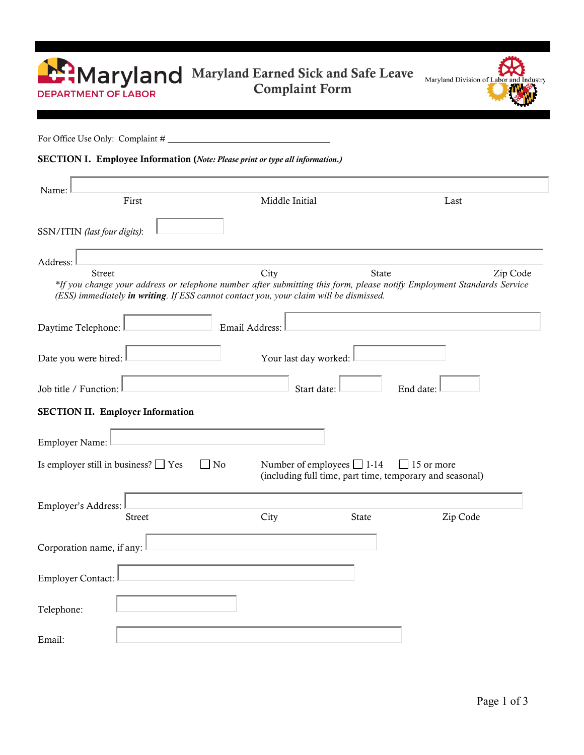| <b>E:Maryland</b><br><b>DEPARTMENT OF LABOR</b>                                                                                                                                                                                   | Maryland Earned Sick and Safe Leave<br><b>Complaint Form</b> |              | Maryland Division of Labor and Industry                                |  |
|-----------------------------------------------------------------------------------------------------------------------------------------------------------------------------------------------------------------------------------|--------------------------------------------------------------|--------------|------------------------------------------------------------------------|--|
| For Office Use Only: Complaint #                                                                                                                                                                                                  |                                                              |              |                                                                        |  |
| SECTION I. Employee Information (Note: Please print or type all information.)                                                                                                                                                     |                                                              |              |                                                                        |  |
| Name:<br>First                                                                                                                                                                                                                    | Middle Initial                                               |              | Last                                                                   |  |
| SSN/ITIN (last four digits):                                                                                                                                                                                                      |                                                              |              |                                                                        |  |
| Address:                                                                                                                                                                                                                          |                                                              |              |                                                                        |  |
| <b>Street</b><br>*If you change your address or telephone number after submitting this form, please notify Employment Standards Service<br>(ESS) immediately in writing. If ESS cannot contact you, your claim will be dismissed. | City                                                         | <b>State</b> | Zip Code                                                               |  |
| Daytime Telephone:                                                                                                                                                                                                                | Email Address:                                               |              |                                                                        |  |
| Date you were hired:<br>Your last day worked:                                                                                                                                                                                     |                                                              |              |                                                                        |  |
| Job title / Function:<br>Start date:<br>End date:                                                                                                                                                                                 |                                                              |              |                                                                        |  |
| <b>SECTION II. Employer Information</b>                                                                                                                                                                                           |                                                              |              |                                                                        |  |
| Employer Name:                                                                                                                                                                                                                    |                                                              |              |                                                                        |  |
| Is employer still in business? $\Box$ Yes<br>No                                                                                                                                                                                   | Number of employees $\Box$ 1-14                              |              | 15 or more<br>(including full time, part time, temporary and seasonal) |  |
| Employer's Address:<br>Street                                                                                                                                                                                                     | City                                                         | State        | Zip Code                                                               |  |
|                                                                                                                                                                                                                                   |                                                              |              |                                                                        |  |
| Corporation name, if any:                                                                                                                                                                                                         |                                                              |              |                                                                        |  |
| <b>Employer Contact:</b>                                                                                                                                                                                                          |                                                              |              |                                                                        |  |
| Telephone:                                                                                                                                                                                                                        |                                                              |              |                                                                        |  |
| Email:                                                                                                                                                                                                                            |                                                              |              |                                                                        |  |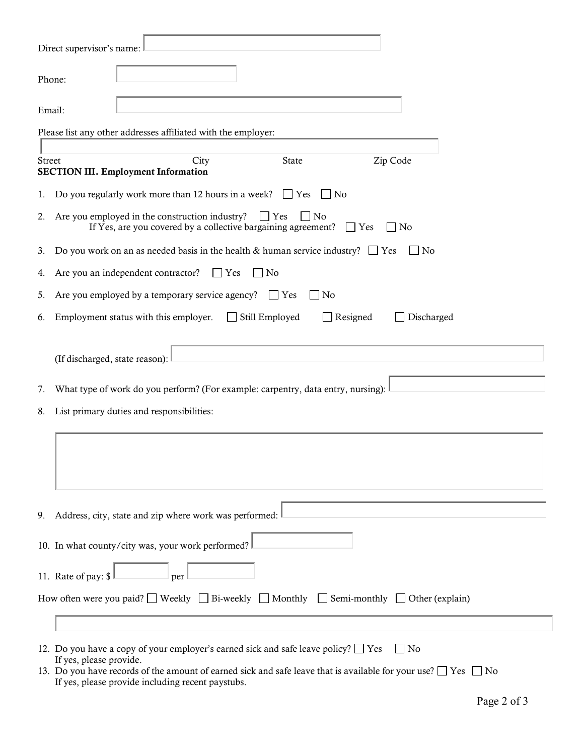| Direct supervisor's name:                                                                                                                                                                                                                                   |  |  |  |
|-------------------------------------------------------------------------------------------------------------------------------------------------------------------------------------------------------------------------------------------------------------|--|--|--|
| Phone:                                                                                                                                                                                                                                                      |  |  |  |
| Email:                                                                                                                                                                                                                                                      |  |  |  |
| Please list any other addresses affiliated with the employer:                                                                                                                                                                                               |  |  |  |
| City<br>Zip Code<br>State<br><b>Street</b><br><b>SECTION III. Employment Information</b>                                                                                                                                                                    |  |  |  |
| Do you regularly work more than 12 hours in a week? $\Box$ Yes<br>No<br>1.                                                                                                                                                                                  |  |  |  |
| Are you employed in the construction industry?<br>$\Gamma$ Yes<br>$ $ No<br>2.<br>If Yes, are you covered by a collective bargaining agreement?<br>$\Box$ Yes<br>No                                                                                         |  |  |  |
| Do you work on an as needed basis in the health & human service industry? $\Box$ Yes<br>No<br>3.                                                                                                                                                            |  |  |  |
| Are you an independent contractor?<br>$ $ Yes<br>$ $ No<br>4.                                                                                                                                                                                               |  |  |  |
| Are you employed by a temporary service agency?<br>$\Box$ Yes<br>  No<br>5.                                                                                                                                                                                 |  |  |  |
| Still Employed<br>Employment status with this employer.<br>Resigned<br>Discharged<br>6.                                                                                                                                                                     |  |  |  |
| (If discharged, state reason):                                                                                                                                                                                                                              |  |  |  |
| What type of work do you perform? (For example: carpentry, data entry, nursing):<br>7.                                                                                                                                                                      |  |  |  |
| List primary duties and responsibilities:<br>8.                                                                                                                                                                                                             |  |  |  |
|                                                                                                                                                                                                                                                             |  |  |  |
| Address, city, state and zip where work was performed:<br>9.                                                                                                                                                                                                |  |  |  |
| 10. In what county/city was, your work performed?                                                                                                                                                                                                           |  |  |  |
| 11. Rate of pay: \$<br>per                                                                                                                                                                                                                                  |  |  |  |
| How often were you paid? Weekly $\Box$ Bi-weekly $\Box$ Monthly $\Box$ Semi-monthly $\Box$ Other (explain)                                                                                                                                                  |  |  |  |
|                                                                                                                                                                                                                                                             |  |  |  |
| 12. Do you have a copy of your employer's earned sick and safe leave policy? $\Box$ Yes<br>$\Box$ No<br>If yes, please provide.<br>13. Do you have records of the amount of earned sick and safe leave that is available for your use? $\Box$ Yes $\Box$ No |  |  |  |